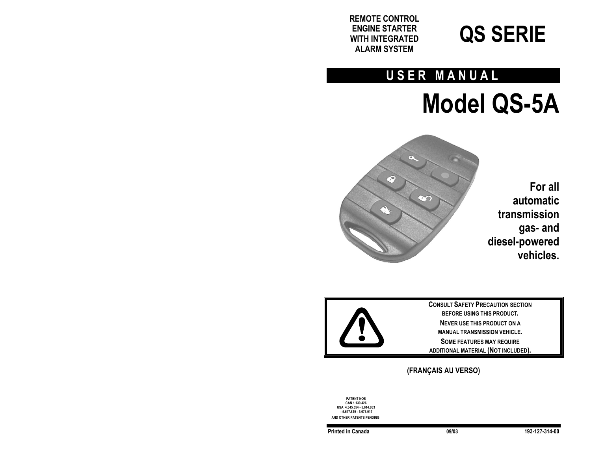**REMOTE CONTROL ENGINE STARTER WITH INTEGRATED ALARM SYSTEM**



# **USER MANUAL**

 **Model QS-5A** 



**For all automatic transmission gas- and diesel-powered vehicles.** 



**CONSULT SAFETY PRECAUTION SECTION BEFORE USING THIS PRODUCT. NEVER USE THIS PRODUCT ON A MANUAL TRANSMISSION VEHICLE.SOME FEATURES MAY REQUIRE ADDITIONAL MATERIAL (NOT INCLUDED).** 

# **(FRANÇAIS AU VERSO)**

**PATENT NOS CAN 1.130.426 USA 4.345.554 - 5.614.883 - 5.617.819 - 5.673.017 AND OTHER PATENTS PENDING**

**Printed in Canada 09/03 193-127-314-00**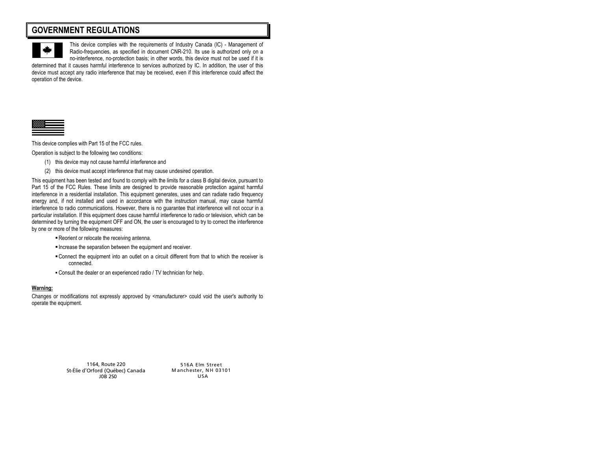# **GOVERNMENT REGULATIONS**



This device complies with the requirements of Industry Canada (IC) - Management of Radio-frequencies, as specified in document CNR-210. Its use is authorized only on a no-interference, no-protection basis; in other words, this device must not be used if it is

determined that it causes harmful interference to services authorized by IC. In addition, the user of this device must accept any radio interference that may be received, even if this interference could affect the operation of the device.



This device complies with Part 15 of the FCC rules.

Operation is subject to the following two conditions:

- (1) this device may not cause harmful interference and
- (2) this device must accept interference that may cause undesired operation.

This equipment has been tested and found to comply with the limits for a class B digital device, pursuant to Part 15 of the FCC Rules. These limits are designed to provide reasonable protection against harmful interference in a residential installation. This equipment generates, uses and can radiate radio frequency energy and, if not installed and used in accordance with the instruction manual, may cause harmful interference to radio communications. However, there is no guarantee that interference will not occur in a particular installation. If this equipment does cause harmful interference to radio or television, which can be determined by turning the equipment OFF and ON, the user is encouraged to try to correct the interference by one or more of the following measures:

- Reorient or relocate the receiving antenna.
- Increase the separation between the equipment and receiver.
- Connect the equipment into an outlet on a circuit different from that to which the receiver is connected.
- Consult the dealer or an experienced radio / TV technician for help.

#### **Warning:**

Changes or modifications not expressly approved by <manufacturer> could void the user's authority to operate the equipment.

> 1164, Route 220 St-Élie d'Orford (Québec) Canada J0B 2S0

516A Elm Street Manchester, NH 03101 USA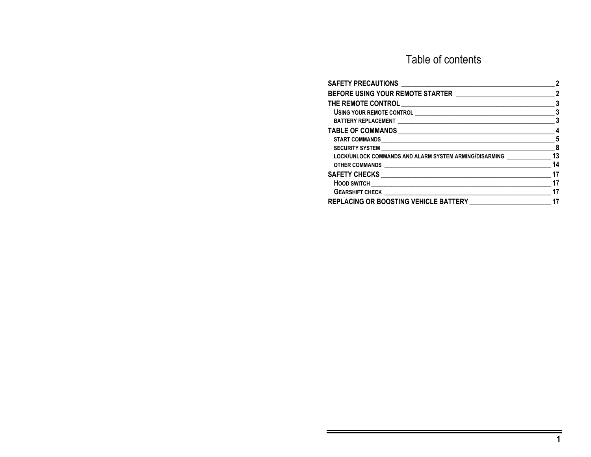# Table of contents

|                                                        | 2                          |
|--------------------------------------------------------|----------------------------|
|                                                        | 3                          |
|                                                        | 3                          |
|                                                        | 3                          |
|                                                        | 4                          |
|                                                        | 5                          |
|                                                        | $\overline{\phantom{a}}$ 8 |
| LOCK/UNLOCK COMMANDS AND ALARM SYSTEM ARMING/DISARMING | 13                         |
| OTHER COMMANDS <b>And Account of the COMMANDS</b>      | 14                         |
|                                                        | 17                         |
|                                                        | 17                         |
|                                                        | 17                         |
| REPLACING OR BOOSTING VEHICLE BATTERY                  | 17                         |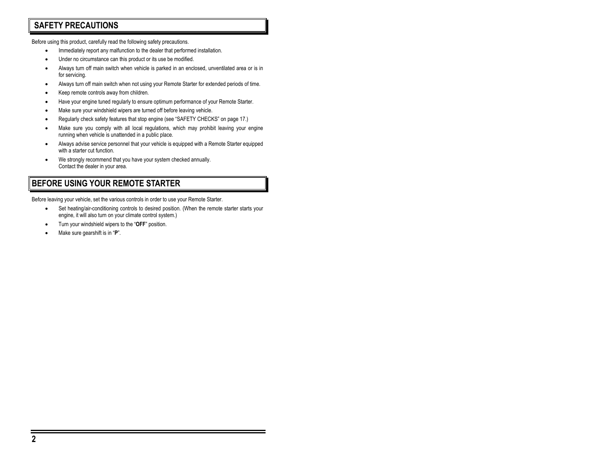# **SAFETY PRECAUTIONS**

Before using this product, carefully read the following safety precautions.

- Immediately report any malfunction to the dealer that performed installation.
- Under no circumstance can this product or its use be modified.
- Always turn off main switch when vehicle is parked in an enclosed, unventilated area or is in for servicing.
- Always turn off main switch when not using your Remote Starter for extended periods of time.
- Keep remote controls away from children.
- Have your engine tuned regularly to ensure optimum performance of your Remote Starter.
- Make sure your windshield wipers are turned off before leaving vehicle.
- Regularly check safety features that stop engine (see "SAFETY CHECKS" on page 17.)
- Make sure you comply with all local regulations, which may prohibit leaving your engine running when vehicle is unattended in a public place.
- Always advise service personnel that your vehicle is equipped with a Remote Starter equipped with a starter cut function.
- We strongly recommend that you have your system checked annually. Contact the dealer in your area.

# **BEFORE USING YOUR REMOTE STARTER**

Before leaving your vehicle, set the various controls in order to use your Remote Starter.

- Set heating/air-conditioning controls to desired position. (When the remote starter starts your engine, it will also turn on your climate control system.)
- Turn your windshield wipers to the "**OFF**" position.
- Make sure gearshift is in "**P**".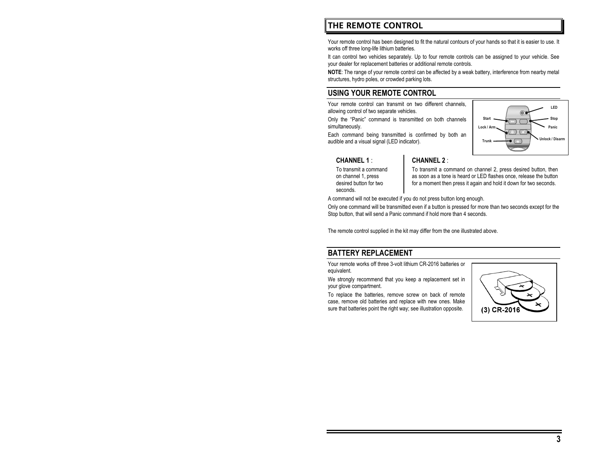# **THE REMOTE CONTROL**

Your remote control has been designed to fit the natural contours of your hands so that it is easier to use. It works off three long-life lithium batteries.

It can control two vehicles separately. Up to four remote controls can be assigned to your vehicle. See your dealer for replacement batteries or additional remote controls.

**NOTE**: The range of your remote control can be affected by a weak battery, interference from nearby metal structures, hydro poles, or crowded parking lots.

### **USING YOUR REMOTE CONTROL**

Your remote control can transmit on two different channels, allowing control of two separate vehicles.

Only the "Panic" command is transmitted on both channels simultaneously.

Each command being transmitted is confirmed by both an audible and a visual signal (LED indicator).



### **CHANNEL 1** :

To transmit a command on channel 1, press desired button for two seconds.

### **CHANNEL 2** :

To transmit a command on channel 2, press desired button, then as soon as a tone is heard or LED flashes once, release the button for a moment then press it again and hold it down for two seconds.

A command will not be executed if you do not press button long enough.

Only one command will be transmitted even if a button is pressed for more than two seconds except for the Stop button, that will send a Panic command if hold more than 4 seconds.

The remote control supplied in the kit may differ from the one illustrated above.

### **BATTERY REPLACEMENT**

Your remote works off three 3-volt lithium CR-2016 batteries or equivalent.

We strongly recommend that you keep a replacement set in your glove compartment.

To replace the batteries, remove screw on back of remote case, remove old batteries and replace with new ones. Make sure that batteries point the right way; see illustration opposite.

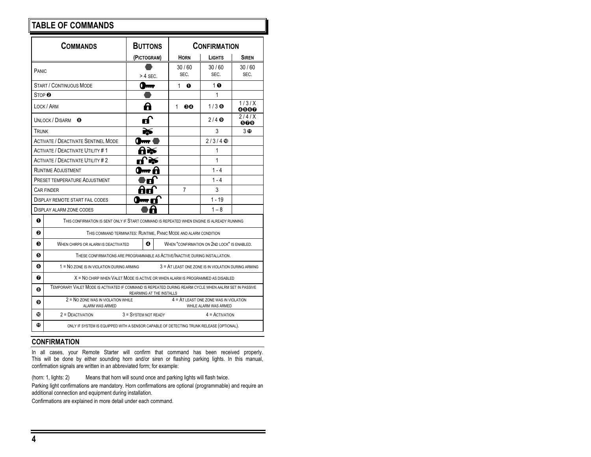# **TABLE OF COMMANDS**

|                                                                                     | <b>COMMANDS</b>                                                                                                                   | <b>BUTTONS</b>       |             | <b>CONFIRMATION</b>                                               |               |
|-------------------------------------------------------------------------------------|-----------------------------------------------------------------------------------------------------------------------------------|----------------------|-------------|-------------------------------------------------------------------|---------------|
|                                                                                     |                                                                                                                                   | (PICTOGRAM)          | <b>HORN</b> | <b>LIGHTS</b>                                                     | <b>SIREN</b>  |
| PANIC                                                                               |                                                                                                                                   |                      | 30/60       | 30/60                                                             | 30/60         |
|                                                                                     |                                                                                                                                   | $>$ 4 SEC.           | SEC.        | SEC.                                                              | SEC.          |
|                                                                                     | <b>START / CONTINUOUS MODE</b>                                                                                                    | <b>1999</b>          | 1<br>⋒      | 1 <sub>0</sub>                                                    |               |
| STOP <sup>®</sup>                                                                   |                                                                                                                                   |                      |             | 1                                                                 |               |
|                                                                                     | LOCK / ARM                                                                                                                        | A                    | 1<br>60     | $1/3$ $\odot$                                                     | 1/3/X<br>0000 |
|                                                                                     | UNLOCK / DISARM<br>Θ                                                                                                              | ń                    |             | $2/4$ $\odot$                                                     | 2/4/X<br>000  |
| TRUNK                                                                               |                                                                                                                                   |                      |             | 3                                                                 | 3 O           |
|                                                                                     | <b>ACTIVATE / DEACTIVATE SENTINEL MODE</b>                                                                                        |                      |             | $2/3/4$ $\circledcirc$                                            |               |
|                                                                                     | <b>ACTIVATE / DEACTIVATE UTILITY #1</b>                                                                                           |                      |             | 1                                                                 |               |
|                                                                                     | <b>ACTIVATE / DEACTIVATE UTILITY #2</b>                                                                                           |                      |             | 1                                                                 |               |
|                                                                                     | <b>RUNTIME ADJUSTMENT</b>                                                                                                         |                      |             | $1 - 4$                                                           |               |
|                                                                                     | <b>PRESET TEMPERATURE ADJUSTMENT</b>                                                                                              |                      |             | $1 - 4$                                                           |               |
| 3<br>7<br>CAR FINDER                                                                |                                                                                                                                   |                      |             |                                                                   |               |
| $1 - 19$<br><b>DISPLAY REMOTE START FAIL CODES</b>                                  |                                                                                                                                   |                      |             |                                                                   |               |
|                                                                                     | <b>DISPLAY ALARM ZONE CODES</b>                                                                                                   |                      |             | $1 - 8$                                                           |               |
| ⋒                                                                                   | THIS CONFIRMATION IS SENT ONLY IF START COMMAND IS REPEATED WHEN ENGINE IS ALREADY RUNNING                                        |                      |             |                                                                   |               |
| ค<br>THIS COMMAND TERMINATES: RUNTIME, PANIC MODE AND ALARM CONDITION               |                                                                                                                                   |                      |             |                                                                   |               |
| ଈ                                                                                   | ⊕<br>WHEN "CONFIRMATION ON 2ND LOCK" IS ENABLED.<br>WHEN CHIRPS OR ALARM IS DEACTIVATED                                           |                      |             |                                                                   |               |
| 6                                                                                   | THESE CONFIRMATIONS ARE PROGRAMMABLE AS ACTIVE/INACTIVE DURING INSTALLATION.                                                      |                      |             |                                                                   |               |
| 0                                                                                   | 1 = NO ZONE IS IN VIOLATION DURING ARMING<br>3 = AT LEAST ONE ZONE IS IN VIOLATION DURING ARMING                                  |                      |             |                                                                   |               |
| X = NO CHIRP WHEN VALET MODE IS ACTIVE OR WHEN ALARM IS PROGRAMMED AS DISABLED<br>❼ |                                                                                                                                   |                      |             |                                                                   |               |
| ◶                                                                                   | TEMPORARY VALET MODE IS ACTIVATED IF COMMAND IS REPEATED DURING REARM CYCLE WHEN AALRM SET IN PASSIVE<br>REARMING AT THE INSTALLS |                      |             |                                                                   |               |
| ø                                                                                   | 2 = NO ZONE WAS IN VIOLATION WHILE<br>ALARM WAS ARMED                                                                             |                      |             | $4 = AT$ LEAST ONE ZONE WAS IN VIOLATION<br>WHILE ALARM WAS ARMED |               |
| ⊕                                                                                   | $2 =$ DEACTIVATION                                                                                                                | 3 = SYSTEM NOT READY |             | $4 =$ ACTIVATION                                                  |               |
| ⋒                                                                                   | ONLY IF SYSTEM IS EQUIPPED WITH A SENSOR CAPABLE OF DETECTING TRUNK RELEASE (OPTIONAL).                                           |                      |             |                                                                   |               |
|                                                                                     |                                                                                                                                   |                      |             |                                                                   |               |

### **CONFIRMATION**

In all cases, your Remote Starter will confirm that command has been received properly. This will be done by either sounding horn and/or siren or flashing parking lights. In this manual, confirmation signals are written in an abbreviated form; for example:

(horn: 1, lights: 2) Means that horn will sound once and parking lights will flash twice.

Parking light confirmations are mandatory. Horn confirmations are optional (programmable) and require an additional connection and equipment during installation.

Confirmations are explained in more detail under each command.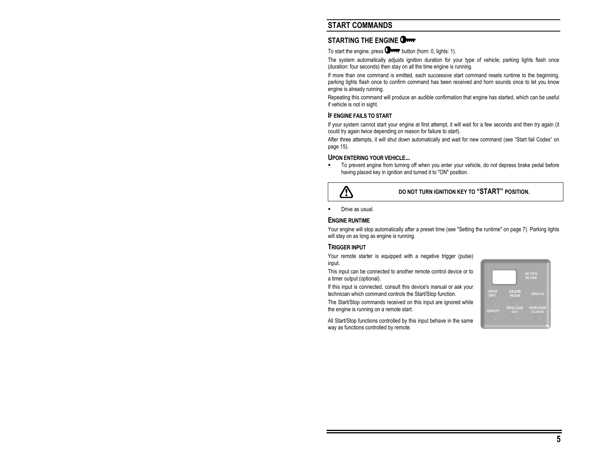# **START COMMANDS**

### **STARTING THE ENGINE**

To start the engine, press  $\Box$  was button (horn: 0, lights: 1).

The system automatically adjusts ignition duration for your type of vehicle; parking lights flash once (duration: four seconds) then stay on all the time engine is running.

If more than one command is emitted, each successive start command resets runtime to the beginning, parking lights flash once to confirm command has been received and horn sounds once to let you know engine is already running.

Repeating this command will produce an audible confirmation that engine has started, which can be useful if vehicle is not in sight.

#### **IF ENGINE FAILS TO START**

If your system cannot start your engine at first attempt, it will wait for a few seconds and then try again (it could try again twice depending on reason for failure to start).

After three attempts, it will shut down automatically and wait for new command (see "Start fail Codes" on page 15).

#### **UPON ENTERING YOUR VEHICLE...**

 To prevent engine from turning off when you enter your vehicle, do not depress brake pedal before having placed key in ignition and turned it to "ON" position.



### **DO NOT TURN IGNITION KEY TO "START" POSITION.**

Drive as usual.

#### **ENGINE RUNTIME**

Your engine will stop automatically after a preset time (see "Setting the runtime" on page 7). Parking lights will stay on as long as engine is running.

#### **TRIGGER INPUT**

Your remote starter is equipped with a negative trigger (pulse) input.

This input can be connected to another remote control device or to a timer output (optional).

If this input is connected, consult this device's manual or ask your technician which command controls the Start/Stop function.

The Start/Stop commands received on this input are ignored while the engine is running on a remote start.

All Start/Stop functions controlled by this input behave in the same way as functions controlled by remote.

|                                     |                                                             | <b>ACTIVÉ</b><br><b>IN USE</b>                  |
|-------------------------------------|-------------------------------------------------------------|-------------------------------------------------|
| <b>JOUR</b><br>DAY<br><b>ON/OFF</b> | <b>HEURE</b><br><b>HOUR</b><br><b>RÉGLAGE</b><br><b>SET</b> | <b>MINUTE</b><br><b>HORLOGE</b><br><b>CLOCK</b> |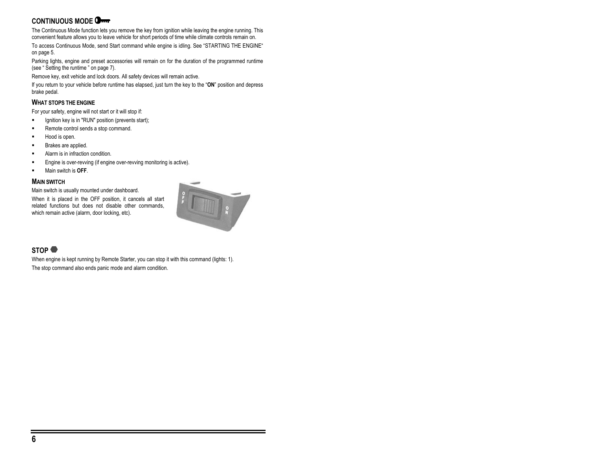# **CONTINUOUS MODE**

The Continuous Mode function lets you remove the key from ignition while leaving the engine running. This convenient feature allows you to leave vehicle for short periods of time while climate controls remain on.

To access Continuous Mode, send Start command while engine is idling. See "STARTING THE ENGINE" on page 5.

Parking lights, engine and preset accessories will remain on for the duration of the programmed runtime (see " Setting the runtime " on page 7).

Remove key, exit vehicle and lock doors. All safety devices will remain active.

If you return to your vehicle before runtime has elapsed, just turn the key to the "**ON**" position and depress brake pedal.

### **WHAT STOPS THE ENGINE**

For your safety, engine will not start or it will stop if:

- Ignition key is in "RUN" position (prevents start);
- Remote control sends a stop command.
- Hood is open.
- Brakes are applied.
- Alarm is in infraction condition.
- **Engine is over-revving (if engine over-revving monitoring is active).**
- Main switch is **OFF**.

#### **MAIN SWITCH**

Main switch is usually mounted under dashboard.

When it is placed in the OFF position, it cancels all start related functions but does not disable other commands, which remain active (alarm, door locking, etc).



### **STOP**

When engine is kept running by Remote Starter, you can stop it with this command (lights: 1). The stop command also ends panic mode and alarm condition.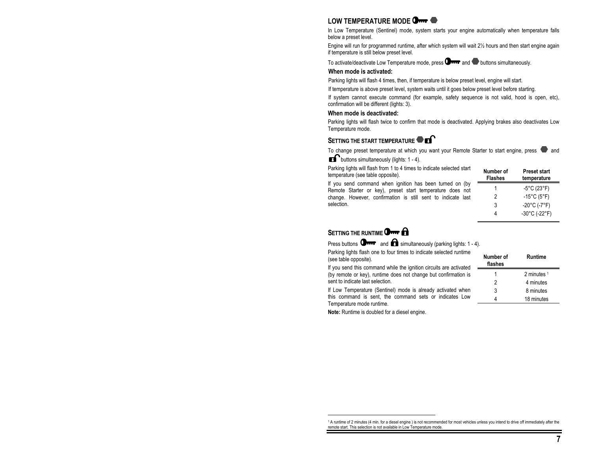### **LOW TEMPERATURE MODE**

In Low Temperature (Sentinel) mode, system starts your engine automatically when temperature falls below a preset level.

Engine will run for programmed runtime, after which system will wait 2½ hours and then start engine again if temperature is still below preset level.

To activate/deactivate Low Temperature mode, press  $\Box$  and  $\Box$  buttons simultaneously.

#### **When mode is activated:**

Parking lights will flash 4 times, then, if temperature is below preset level, engine will start.

If temperature is above preset level, system waits until it goes below preset level before starting.

If system cannot execute command (for example, safety sequence is not valid, hood is open, etc), confirmation will be different (lights: 3).

#### **When mode is deactivated:**

Parking lights will flash twice to confirm that mode is deactivated. Applying brakes also deactivates Low Temperature mode.

### **SETTING THE START TEMPERATURE**

To change preset temperature at which you want your Remote Starter to start engine, press  $\bullet$  and

 $\blacksquare$  buttons simultaneously (lights: 1 - 4).

Parking lights will flash from 1 to 4 times to indicate selected start temperature (see table opposite).

If you send command when ignition has been turned on (by Remote Starter or key), preset start temperature does not change. However, confirmation is still sent to indicate last selection.

| Number of<br>Flashes | <b>Preset start</b><br>temperature |
|----------------------|------------------------------------|
|                      | $-5^{\circ}$ C (23 $^{\circ}$ F)   |
| 2                    | -15 $^{\circ}$ C (5 $^{\circ}$ F)  |
| 3                    | $-20^{\circ}$ C (-7 $^{\circ}$ F)  |
|                      | $-30^{\circ}$ C (-22°F)            |

### **SETTING THE RUNTIME** OF

Press buttons  $\mathbf{Q}_{\text{max}}$  and  $\mathbf{Q}_{\text{simultaneously (parking lights: 1 - 4)}}$ .

Parking lights flash one to four times to indicate selected runtime (see table opposite).

If you send this command while the ignition circuits are activated (by remote or key), runtime does not change but confirmation is sent to indicate last selection.

If Low Temperature (Sentinel) mode is already activated when this command is sent, the command sets or indicates Low Temperature mode runtime.

**Note:** Runtime is doubled for a diesel engine.

| Number of<br>flashes | Runtime     |
|----------------------|-------------|
|                      | 2 minutes 1 |
| 2                    | 4 minutes   |
| 3                    | 8 minutes   |
|                      | 18 minutes  |

<sup>1</sup> A runtime of 2 minutes (4 min. for a diesel engine ) is not recommended for most vehicles unless you intend to drive off immediately after the remote start. This selection is not available in Low Temperature mode.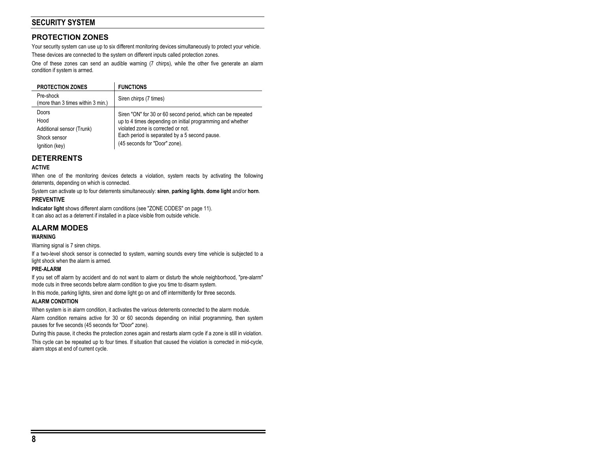# **SECURITY SYSTEM**

### **PROTECTION ZONES**

Your security system can use up to six different monitoring devices simultaneously to protect your vehicle. These devices are connected to the system on different inputs called protection zones.

One of these zones can send an audible warning (7 chirps), while the other five generate an alarm condition if system is armed.

| <b>PROTECTION ZONES</b>                        | <b>FUNCTIONS</b>                                             |
|------------------------------------------------|--------------------------------------------------------------|
| Pre-shock<br>(more than 3 times within 3 min.) | Siren chirps (7 times)                                       |
| Doors                                          | Siren "ON" for 30 or 60 second period, which can be repeated |
| Hood                                           | up to 4 times depending on initial programming and whether   |
| Additional sensor (Trunk)                      | violated zone is corrected or not.                           |
| Shock sensor                                   | Each period is separated by a 5 second pause.                |
| Ignition (key)                                 | (45 seconds for "Door" zone).                                |

### **DETERRENTS**

#### **ACTIVE**

When one of the monitoring devices detects a violation, system reacts by activating the following deterrents, depending on which is connected.

System can activate up to four deterrents simultaneously: **siren**, **parking lights**, **dome light** and/or **horn**.

#### **PREVENTIVE**

**Indicator light** shows different alarm conditions (see "ZONE CODES" on page 11).

It can also act as a deterrent if installed in a place visible from outside vehicle.

### **ALARM MODES**

#### **WARNING**

Warning signal is 7 siren chirps.

If a two-level shock sensor is connected to system, warning sounds every time vehicle is subjected to a light shock when the alarm is armed.

#### **PRE-ALARM**

If you set off alarm by accident and do not want to alarm or disturb the whole neighborhood, "pre-alarm" mode cuts in three seconds before alarm condition to give you time to disarm system.

In this mode, parking lights, siren and dome light go on and off intermittently for three seconds.

#### **ALARM CONDITION**

When system is in alarm condition, it activates the various deterrents connected to the alarm module.

Alarm condition remains active for 30 or 60 seconds depending on initial programming, then system pauses for five seconds (45 seconds for "Door" zone).

During this pause, it checks the protection zones again and restarts alarm cycle if a zone is still in violation.

This cycle can be repeated up to four times. If situation that caused the violation is corrected in mid-cycle, alarm stops at end of current cycle.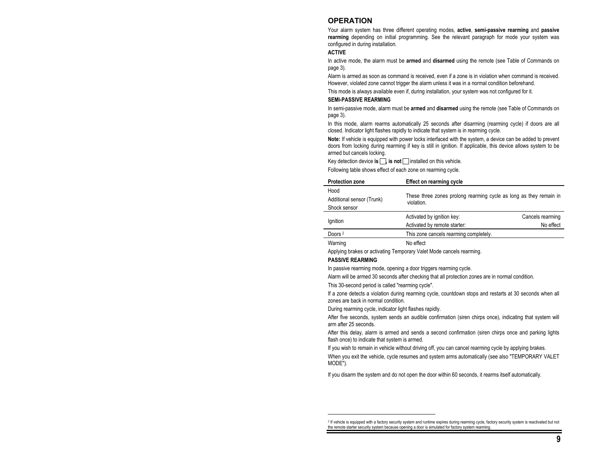### **OPERATION**

Your alarm system has three different operating modes, **active**, **semi-passive rearming** and **passive rearming** depending on initial programming. See the relevant paragraph for mode your system was configured in during installation.

#### **ACTIVE**

In active mode, the alarm must be **armed** and **disarmed** using the remote (see Table of Commands on page 3).

Alarm is armed as soon as command is received, even if a zone is in violation when command is received. However, violated zone cannot trigger the alarm unless it was in a normal condition beforehand.

This mode is always available even if, during installation, your system was not configured for it.

#### **SEMI-PASSIVE REARMING**

In semi-passive mode, alarm must be **armed** and **disarmed** using the remote (see Table of Commands on page 3).

In this mode, alarm rearms automatically 25 seconds after disarming (rearming cycle) if doors are all closed. Indicator light flashes rapidly to indicate that system is in rearming cycle.

**Note:** If vehicle is equipped with power locks interfaced with the system, a device can be added to prevent doors from locking during rearming if key is still in ignition. If applicable, this device allows system to be armed but cancels locking.

Key detection device **is**  $\Box$ , **is not**  $\Box$  installed on this vehicle.

Following table shows effect of each zone on rearming cycle.

| <b>Protection zone</b>    | <b>Effect on rearming cycle</b>                                                  |                  |  |
|---------------------------|----------------------------------------------------------------------------------|------------------|--|
| Hood                      |                                                                                  |                  |  |
| Additional sensor (Trunk) | These three zones prolong rearming cycle as long as they remain in<br>violation. |                  |  |
| Shock sensor              |                                                                                  |                  |  |
|                           | Activated by ignition key:                                                       | Cancels rearming |  |
| lgnition                  | Activated by remote starter:                                                     | No effect        |  |
| Doors <sup>2</sup>        | This zone cancels rearming completely.                                           |                  |  |
| Warning                   | No effect                                                                        |                  |  |

Applying brakes or activating Temporary Valet Mode cancels rearming.

#### **PASSIVE REARMING**

In passive rearming mode, opening a door triggers rearming cycle.

Alarm will be armed 30 seconds after checking that all protection zones are in normal condition.

This 30-second period is called "rearming cycle".

If a zone detects a violation during rearming cycle, countdown stops and restarts at 30 seconds when all zones are back in normal condition.

During rearming cycle, indicator light flashes rapidly.

After five seconds, system sends an audible confirmation (siren chirps once), indicating that system will arm after 25 seconds.

After this delay, alarm is armed and sends a second confirmation (siren chirps once and parking lights flash once) to indicate that system is armed.

If you wish to remain in vehicle without driving off, you can cancel rearming cycle by applying brakes.

When you exit the vehicle, cycle resumes and system arms automatically (see also "TEMPORARY VALET MODE").

If you disarm the system and do not open the door within 60 seconds, it rearms itself automatically.

<sup>&</sup>lt;sup>2</sup> If vehicle is equipped with a factory security system and runtime expires during rearming cycle, factory security system is reactivated but not the remote starter security system because opening a door is simulated for factory system rearming.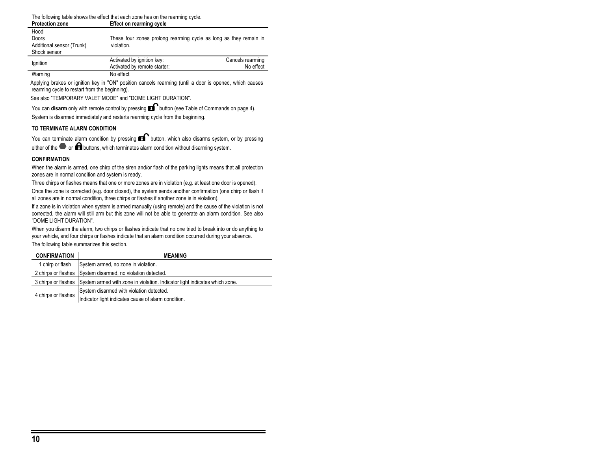The following table shows the effect that each zone has on the rearming cycle.<br>Protection zone<br>Fffect on rearming cycle **Pffect on rearming cycle** 

| Hood                      |                                                                   |                  |
|---------------------------|-------------------------------------------------------------------|------------------|
| Doors                     | These four zones prolong rearming cycle as long as they remain in |                  |
| Additional sensor (Trunk) | violation.                                                        |                  |
| Shock sensor              |                                                                   |                  |
| lgnition                  | Activated by ignition key:                                        | Cancels rearming |
|                           | Activated by remote starter:                                      | No effect        |
| Warning                   | No effect                                                         |                  |

Applying brakes or ignition key in "ON" position cancels rearming (until a door is opened, which causes rearming cycle to restart from the beginning).

See also "TEMPORARY VALET MODE" and "DOME LIGHT DURATION".

You can **disarm** only with remote control by pressing **B** button (see Table of Commands on page 4). System is disarmed immediately and restarts rearming cycle from the beginning.

#### **TO TERMINATE ALARM CONDITION**

You can terminate alarm condition by pressing  $\blacksquare$  button, which also disarms system, or by pressing either of the  $\bullet$  or  $\bullet$  buttons, which terminates alarm condition without disarming system.

#### **CONFIRMATION**

When the alarm is armed, one chirp of the siren and/or flash of the parking lights means that all protection zones are in normal condition and system is ready.

Three chirps or flashes means that one or more zones are in violation (e.g. at least one door is opened).

Once the zone is corrected (e.g. door closed), the system sends another confirmation (one chirp or flash if all zones are in normal condition, three chirps or flashes if another zone is in violation).

If a zone is in violation when system is armed manually (using remote) and the cause of the violation is not corrected, the alarm will still arm but this zone will not be able to generate an alarm condition. See also "DOME LIGHT DURATION".

When you disarm the alarm, two chirps or flashes indicate that no one tried to break into or do anything to your vehicle, and four chirps or flashes indicate that an alarm condition occurred during your absence. The following table summarizes this section.

| <b>CONFIRMATION</b> | <b>MEANING</b>                                                                                 |
|---------------------|------------------------------------------------------------------------------------------------|
| 1 chirp or flash    | System armed, no zone in violation.                                                            |
|                     | 2 chirps or flashes System disarmed, no violation detected.                                    |
|                     | 3 chirps or flashes System armed with zone in violation. Indicator light indicates which zone. |
| 4 chirps or flashes | System disarmed with violation detected.                                                       |
|                     | Indicator light indicates cause of alarm condition.                                            |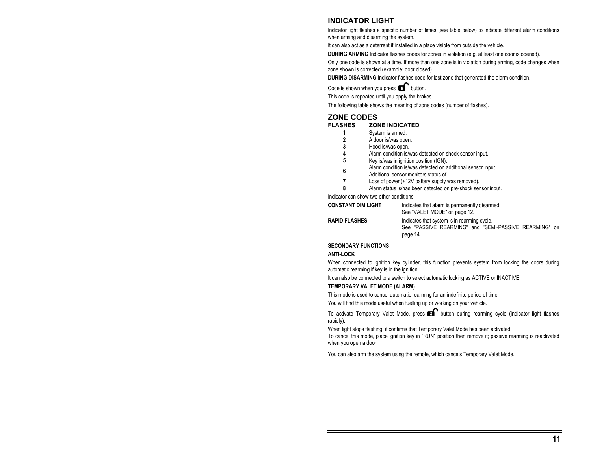### **INDICATOR LIGHT**

Indicator light flashes a specific number of times (see table below) to indicate different alarm conditions when arming and disarming the system.

It can also act as a deterrent if installed in a place visible from outside the vehicle.

**DURING ARMING** Indicator flashes codes for zones in violation (e.g. at least one door is opened).

Only one code is shown at a time. If more than one zone is in violation during arming, code changes when zone shown is corrected (example: door closed).

**DURING DISARMING** Indicator flashes code for last zone that generated the alarm condition.

Code is shown when you press  $\mathbf{f}$  button.

This code is repeated until you apply the brakes.

The following table shows the meaning of zone codes (number of flashes).

### **ZONE CODES**

| <b>FLASHES</b>     | <b>ZONE INDICATED</b>                                        |
|--------------------|--------------------------------------------------------------|
|                    | System is armed.                                             |
|                    | A door is/was open.                                          |
| 3                  | Hood is/was open.                                            |
| 4                  | Alarm condition is/was detected on shock sensor input.       |
| 5                  | Key is/was in ignition position (IGN).                       |
| 6                  | Alarm condition is/was detected on additional sensor input   |
|                    | Loss of power (+12V battery supply was removed).             |
| 8                  | Alarm status is/has been detected on pre-shock sensor input. |
|                    | Indicator can show two other conditions:                     |
| CONSTANT DIM LIGHT | Indicates that alarm is permanently disarmed.                |
|                    |                                                              |

| <b>UUNSTANT DIM LIGHT</b> | indicates that alarm is permanently disarmed.         |  |
|---------------------------|-------------------------------------------------------|--|
|                           | See "VALET MODE" on page 12.                          |  |
| <b>RAPID FLASHES</b>      | Indicates that system is in rearming cycle.           |  |
|                           | See "PASSIVE REARMING" and "SEMI-PASSIVE REARMING" on |  |
|                           | page 14.                                              |  |

### **SECONDARY FUNCTIONS**

#### **ANTI-LOCK**

When connected to ignition key cylinder, this function prevents system from locking the doors during automatic rearming if key is in the ignition.

It can also be connected to a switch to select automatic locking as ACTIVE or INACTIVE.

#### **TEMPORARY VALET MODE (ALARM)**

This mode is used to cancel automatic rearming for an indefinite period of time.

You will find this mode useful when fuelling up or working on your vehicle.

To activate Temporary Valet Mode, press  $\blacksquare$  button during rearming cycle (indicator light flashes rapidly).

When light stops flashing, it confirms that Temporary Valet Mode has been activated.

To cancel this mode, place ignition key in "RUN" position then remove it; passive rearming is reactivated when you open a door.

You can also arm the system using the remote, which cancels Temporary Valet Mode.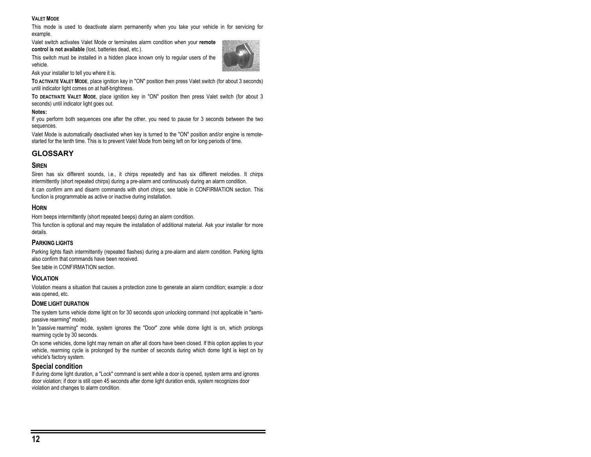#### **VALET MODE**

This mode is used to deactivate alarm permanently when you take your vehicle in for servicing for example.

Valet switch activates Valet Mode or terminates alarm condition when your **remote control is not available** (lost, batteries dead, etc.).

This switch must be installed in a hidden place known only to regular users of the vehicle.



Ask your installer to tell you where it is.

**TO ACTIVATE VALET MODE**, place ignition key in "ON" position then press Valet switch (for about 3 seconds) until indicator light comes on at half-brightness.

**TO DEACTIVATE VALET MODE**, place ignition key in "ON" position then press Valet switch (for about 3 seconds) until indicator light goes out.

#### **Notes:**

If you perform both sequences one after the other, you need to pause for 3 seconds between the two sequences.

Valet Mode is automatically deactivated when key is turned to the "ON" position and/or engine is remotestarted for the tenth time. This is to prevent Valet Mode from being left on for long periods of time.

### **GLOSSARY**

#### **SIREN**

Siren has six different sounds, i.e., it chirps repeatedly and has six different melodies. It chirps intermittently (short repeated chirps) during a pre-alarm and continuously during an alarm condition.

It can confirm arm and disarm commands with short chirps; see table in CONFIRMATION section. This function is programmable as active or inactive during installation.

### **HORN**

Horn beeps intermittently (short repeated beeps) during an alarm condition.

This function is optional and may require the installation of additional material. Ask your installer for more details.

### **PARKING LIGHTS**

Parking lights flash intermittently (repeated flashes) during a pre-alarm and alarm condition. Parking lights also confirm that commands have been received.

See table in CONFIRMATION section.

### **VIOLATION**

Violation means a situation that causes a protection zone to generate an alarm condition; example: a door was opened, etc.

#### **DOME LIGHT DURATION**

The system turns vehicle dome light on for 30 seconds upon unlocking command (not applicable in "semipassive rearming" mode).

In "passive rearming" mode, system ignores the "Door" zone while dome light is on, which prolongs rearming cycle by 30 seconds.

On some vehicles, dome light may remain on after all doors have been closed. If this option applies to your vehicle, rearming cycle is prolonged by the number of seconds during which dome light is kept on by vehicle's factory system.

### **Special condition**

If during dome light duration, a "Lock" command is sent while a door is opened, system arms and ignores door violation; if door is still open 45 seconds after dome light duration ends, system recognizes door violation and changes to alarm condition.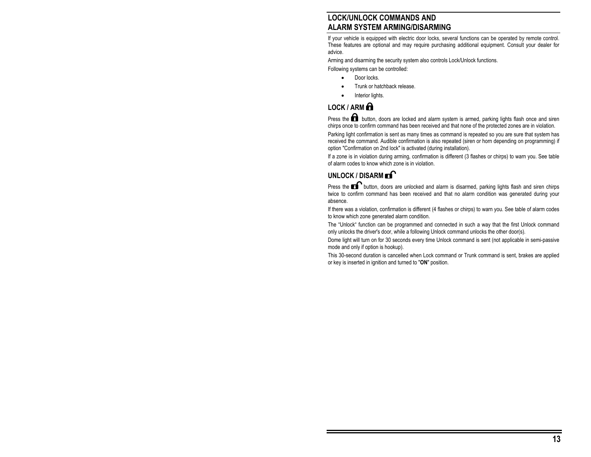# **LOCK/UNLOCK COMMANDS AND ALARM SYSTEM ARMING/DISARMING**

If your vehicle is equipped with electric door locks, several functions can be operated by remote control. These features are optional and may require purchasing additional equipment. Consult your dealer for advice.

Arming and disarming the security system also controls Lock/Unlock functions.

Following systems can be controlled:

- Door locks.
- Trunk or hatchback release.
- Interior lights.

# **LOCK / ARM**

Press the  $\blacksquare$  button, doors are locked and alarm system is armed, parking lights flash once and siren chirps once to confirm command has been received and that none of the protected zones are in violation.

Parking light confirmation is sent as many times as command is repeated so you are sure that system has received the command. Audible confirmation is also repeated (siren or horn depending on programming) if option "Confirmation on 2nd lock" is activated (during installation).

If a zone is in violation during arming, confirmation is different (3 flashes or chirps) to warn you. See table of alarm codes to know which zone is in violation.

# UNLOCK / DISARM **FI**

Press the  $\blacksquare$  button, doors are unlocked and alarm is disarmed, parking lights flash and siren chirps twice to confirm command has been received and that no alarm condition was generated during your absence.

If there was a violation, confirmation is different (4 flashes or chirps) to warn you. See table of alarm codes to know which zone generated alarm condition.

The "Unlock" function can be programmed and connected in such a way that the first Unlock command only unlocks the driver's door, while a following Unlock command unlocks the other door(s).

Dome light will turn on for 30 seconds every time Unlock command is sent (not applicable in semi-passive mode and only if option is hookup).

This 30-second duration is cancelled when Lock command or Trunk command is sent, brakes are applied or key is inserted in ignition and turned to "**ON**" position.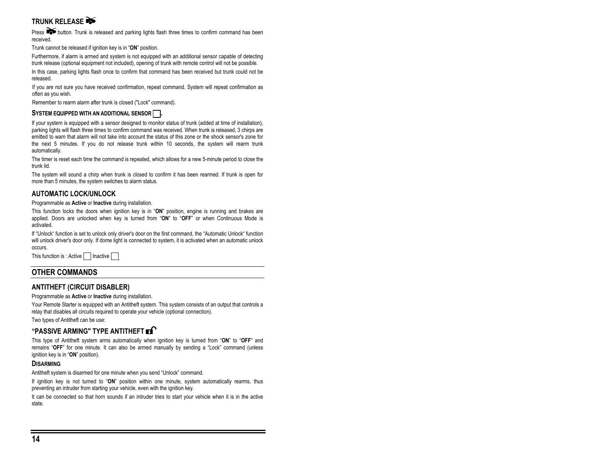# **TRUNK RELEASE**

Press button. Trunk is released and parking lights flash three times to confirm command has been received.

Trunk cannot be released if ignition key is in "**ON**" position.

Furthermore, if alarm is armed and system is not equipped with an additional sensor capable of detecting trunk release (optional equipment not included), opening of trunk with remote control will not be possible.

In this case, parking lights flash once to confirm that command has been received but trunk could not be released.

If you are not sure you have received confirmation, repeat command. System will repeat confirmation as often as you wish.

Remember to rearm alarm after trunk is closed ("Lock" command).

### SYSTEM EQUIPPED WITH AN ADDITIONAL SENSOR

If your system is equipped with a sensor designed to monitor status of trunk (added at time of installation), parking lights will flash three times to confirm command was received. When trunk is released, 3 chirps are emitted to warn that alarm will not take into account the status of this zone or the shock sensor's zone for the next 5 minutes. If you do not release trunk within 10 seconds, the system will rearm trunk automatically.

The timer is reset each time the command is repeated, which allows for a new 5-minute period to close the trunk lid.

The system will sound a chirp when trunk is closed to confirm it has been rearmed. If trunk is open for more than 5 minutes, the system switches to alarm status.

### **AUTOMATIC LOCK/UNLOCK**

Programmable as **Active** or **Inactive** during installation.

This function locks the doors when ignition key is in "**ON**" position, engine is running and brakes are applied. Doors are unlocked when key is turned from "**ON**" to "**OFF**" or when Continuous Mode is activated.

If "Unlock" function is set to unlock only driver's door on the first command, the "Automatic Unlock" function will unlock driver's door only. If dome light is connected to system, it is activated when an automatic unlock occurs.

This function is : Active Inactive

### **OTHER COMMANDS**

### **ANTITHEFT (CIRCUIT DISABLER)**

Programmable as **Active** or **Inactive** during installation.

Your Remote Starter is equipped with an Antitheft system. This system consists of an output that controls a relay that disables all circuits required to operate your vehicle (optional connection).

Two types of Antitheft can be use:

### **"PASSIVE ARMING" TYPE ANTITHEFT**

This type of Antitheft system arms automatically when ignition key is turned from "**ON**" to "**OFF**" and remains "**OFF**" for one minute. It can also be armed manually by sending a "Lock" command (unless ignition key is in "**ON**" position).

### **DISARMING**

Antitheft system is disarmed for one minute when you send "Unlock" command.

If ignition key is not turned to "**ON**" position within one minute, system automatically rearms, thus preventing an intruder from starting your vehicle, even with the ignition key.

It can be connected so that horn sounds if an intruder tries to start your vehicle when it is in the active state.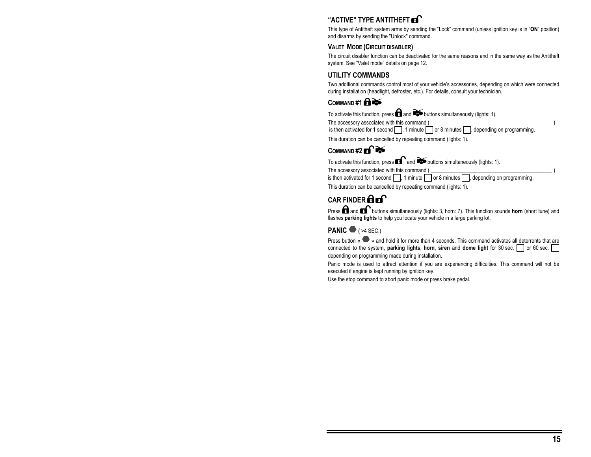# **"ACTIVE" TYPE ANTITHEFT**

This type of Antitheft system arms by sending the "Lock" command (unless ignition key is in "**ON**" position) and disarms by sending the "Unlock" command.

### **VALET MODE (CIRCUIT DISABLER)**

The circuit disabler function can be deactivated for the same reasons and in the same way as the Antitheft system. See "Valet mode" details on page 12.

### **UTILITY COMMANDS**

Two additional commands control most of your vehicle's accessories, depending on which were connected during installation (headlight, defroster, etc.). For details, consult your technician.

### **COMMAND #1**

To activate this function, press **and and buttons simultaneously** (lights: 1).

The accessory associated with this command (

is then activated for 1 second  $\Box$ , 1 minute  $\Box$  or 8 minutes  $\Box$ , depending on programming.

This duration can be cancelled by repeating command (lights: 1).

### COMMAND#2 **Ex**

To activate this function, press  $\blacksquare$  and  $\blacktriangleright$  buttons simultaneously (lights: 1).

The accessory associated with this command (

is then activated for 1 second  $\Box$ , 1 minute  $\Box$  or 8 minutes  $\Box$ , depending on programming.

This duration can be cancelled by repeating command (lights: 1).

# **CAR FINDER <b>An**<sup>1</sup>

Press **and B** buttons simultaneously (lights: 3, horn: 7). This function sounds **horn** (short tune) and flashes **parking lights** to help you locate your vehicle in a large parking lot.

### **PANIC**  $\bullet$  **(** $>4$  **SEC.)**

Press button «  $\blacktriangledown$  » and hold it for more than 4 seconds. This command activates all deterrents that are connected to the system, **parking lights**, **horn**, **siren** and **dome light** for 30 sec.  $\Box$  or 60 sec. depending on programming made during installation.

Panic mode is used to attract attention if you are experiencing difficulties. This command will not be executed if engine is kept running by ignition key.

Use the stop command to abort panic mode or press brake pedal.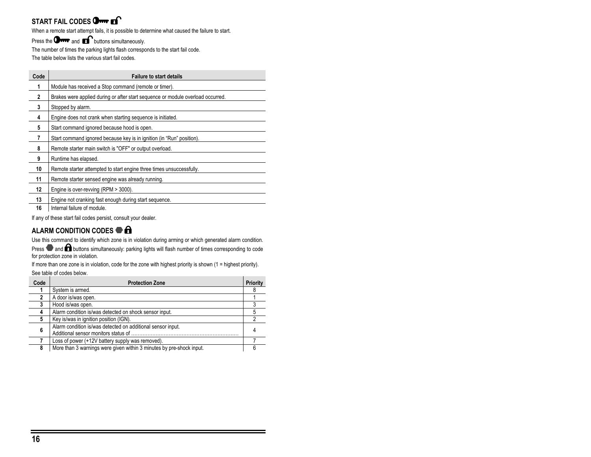# **START FAIL CODES Orm Es**

When a remote start attempt fails, it is possible to determine what caused the failure to start.

Press the  $\mathbf{Q}_{\text{max}}$  and  $\mathbf{E}$  buttons simultaneously.

The number of times the parking lights flash corresponds to the start fail code.

The table below lists the various start fail codes.

| Code         | <b>Failure to start details</b>                                                 |
|--------------|---------------------------------------------------------------------------------|
|              | Module has received a Stop command (remote or timer).                           |
| $\mathbf{2}$ | Brakes were applied during or after start sequence or module overload occurred. |
| 3            | Stopped by alarm.                                                               |
| 4            | Engine does not crank when starting sequence is initiated.                      |
| 5            | Start command ignored because hood is open.                                     |
| 7            | Start command ignored because key is in ignition (in "Run" position).           |
| 8            | Remote starter main switch is "OFF" or output overload.                         |
| 9            | Runtime has elapsed.                                                            |
| 10           | Remote starter attempted to start engine three times unsuccessfully.            |
| 11           | Remote starter sensed engine was already running.                               |
| 12           | Engine is over-revving (RPM > 3000).                                            |
| 13           | Engine not cranking fast enough during start sequence.                          |
| 16           | Internal failure of module.                                                     |

If any of these start fail codes persist, consult your dealer.

# **ALARM CONDITION CODES**

Use this command to identify which zone is in violation during arming or which generated alarm condition.

Press  $\bullet$  and  $\bullet$  buttons simultaneously: parking lights will flash number of times corresponding to code for protection zone in violation.

If more than one zone is in violation, code for the zone with highest priority is shown (1 = highest priority). See table of codes below.

| Code | <b>Protection Zone</b>                                                                              | Priority |
|------|-----------------------------------------------------------------------------------------------------|----------|
|      | System is armed.                                                                                    |          |
|      | A door is/was open.                                                                                 |          |
|      | Hood is/was open.                                                                                   |          |
|      | Alarm condition is/was detected on shock sensor input.                                              |          |
|      | Key is/was in ignition position (IGN).                                                              |          |
| 6    | Alarm condition is/was detected on additional sensor input.<br>Additional sensor monitors status of |          |
|      | Loss of power (+12V battery supply was removed).                                                    |          |
| 8    | More than 3 warnings were given within 3 minutes by pre-shock input.                                |          |